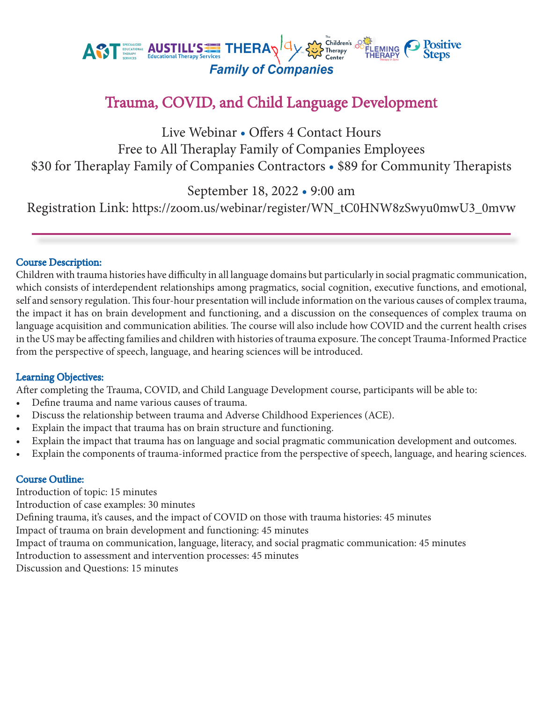

# Trauma, COVID, and Child Language Development

Live Webinar • Offers 4 Contact Hours Free to All Theraplay Family of Companies Employees \$30 for Theraplay Family of Companies Contractors • \$89 for Community Therapists

September 18, 2022 • 9:00 am

Registration Link: https://zoom.us/webinar/register/WN\_tC0HNW8zSwyu0mwU3\_0mvw

# Course Description:

Children with trauma histories have difficulty in all language domains but particularly in social pragmatic communication, which consists of interdependent relationships among pragmatics, social cognition, executive functions, and emotional, self and sensory regulation. This four-hour presentation will include information on the various causes of complex trauma, the impact it has on brain development and functioning, and a discussion on the consequences of complex trauma on language acquisition and communication abilities. The course will also include how COVID and the current health crises in the US may be affecting families and children with histories of trauma exposure. The concept Trauma-Informed Practice from the perspective of speech, language, and hearing sciences will be introduced.

### Learning Objectives:

After completing the Trauma, COVID, and Child Language Development course, participants will be able to:

- Define trauma and name various causes of trauma.
- Discuss the relationship between trauma and Adverse Childhood Experiences (ACE).
- Explain the impact that trauma has on brain structure and functioning.
- Explain the impact that trauma has on language and social pragmatic communication development and outcomes.
- Explain the components of trauma-informed practice from the perspective of speech, language, and hearing sciences.

### Course Outline:

Introduction of topic: 15 minutes Introduction of case examples: 30 minutes Defining trauma, it's causes, and the impact of COVID on those with trauma histories: 45 minutes Impact of trauma on brain development and functioning: 45 minutes Impact of trauma on communication, language, literacy, and social pragmatic communication: 45 minutes Introduction to assessment and intervention processes: 45 minutes Discussion and Questions: 15 minutes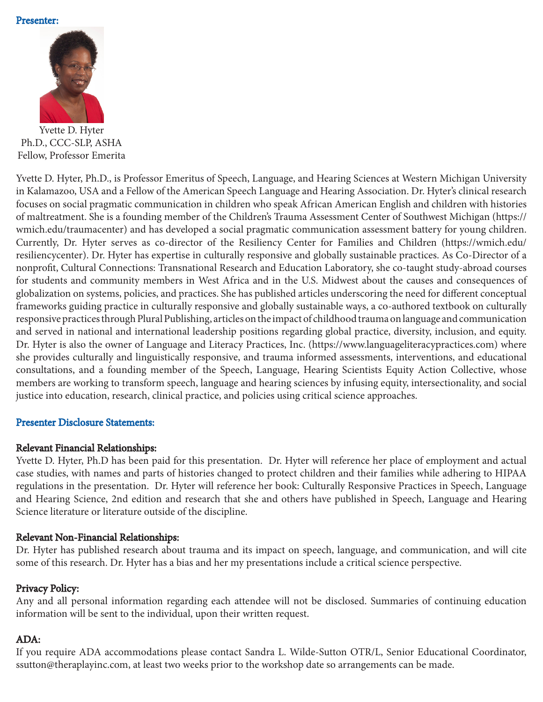#### Presenter:



Yvette D. Hyter Ph.D., CCC-SLP, ASHA Fellow, Professor Emerita

Yvette D. Hyter, Ph.D., is Professor Emeritus of Speech, Language, and Hearing Sciences at Western Michigan University in Kalamazoo, USA and a Fellow of the American Speech Language and Hearing Association. Dr. Hyter's clinical research focuses on social pragmatic communication in children who speak African American English and children with histories of maltreatment. She is a founding member of the Children's Trauma Assessment Center of Southwest Michigan (https:// wmich.edu/traumacenter) and has developed a social pragmatic communication assessment battery for young children. Currently, Dr. Hyter serves as co-director of the Resiliency Center for Families and Children (https://wmich.edu/ resiliencycenter). Dr. Hyter has expertise in culturally responsive and globally sustainable practices. As Co-Director of a nonprofit, Cultural Connections: Transnational Research and Education Laboratory, she co-taught study-abroad courses for students and community members in West Africa and in the U.S. Midwest about the causes and consequences of globalization on systems, policies, and practices. She has published articles underscoring the need for different conceptual frameworks guiding practice in culturally responsive and globally sustainable ways, a co-authored textbook on culturally responsive practices through Plural Publishing, articles on the impact of childhood trauma on language and communication and served in national and international leadership positions regarding global practice, diversity, inclusion, and equity. Dr. Hyter is also the owner of Language and Literacy Practices, Inc. (https://www.languageliteracypractices.com) where she provides culturally and linguistically responsive, and trauma informed assessments, interventions, and educational consultations, and a founding member of the Speech, Language, Hearing Scientists Equity Action Collective, whose members are working to transform speech, language and hearing sciences by infusing equity, intersectionality, and social justice into education, research, clinical practice, and policies using critical science approaches.

### Presenter Disclosure Statements:

### Relevant Financial Relationships:

Yvette D. Hyter, Ph.D has been paid for this presentation. Dr. Hyter will reference her place of employment and actual case studies, with names and parts of histories changed to protect children and their families while adhering to HIPAA regulations in the presentation. Dr. Hyter will reference her book: Culturally Responsive Practices in Speech, Language and Hearing Science, 2nd edition and research that she and others have published in Speech, Language and Hearing Science literature or literature outside of the discipline.

### Relevant Non-Financial Relationships:

Dr. Hyter has published research about trauma and its impact on speech, language, and communication, and will cite some of this research. Dr. Hyter has a bias and her my presentations include a critical science perspective.

### Privacy Policy:

Any and all personal information regarding each attendee will not be disclosed. Summaries of continuing education information will be sent to the individual, upon their written request.

### ADA:

If you require ADA accommodations please contact Sandra L. Wilde-Sutton OTR/L, Senior Educational Coordinator, ssutton@theraplayinc.com, at least two weeks prior to the workshop date so arrangements can be made.